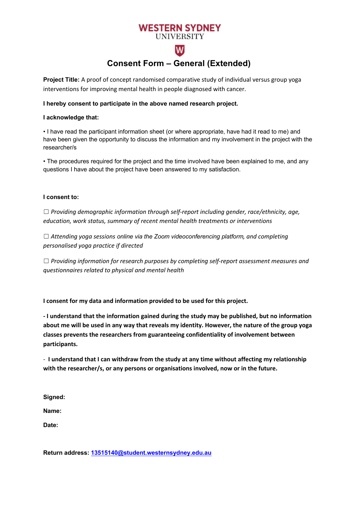# **WESTERN SYDNEY**

### **UNIVERSITY**

## **Consent Form – General (Extended)**

 $\overline{\mathsf{W}}$ 

**Project Title:** A proof of concept randomised comparative study of individual versus group yoga interventions for improving mental health in people diagnosed with cancer.

#### **I hereby consent to participate in the above named research project.**

#### **I acknowledge that:**

• I have read the participant information sheet (or where appropriate, have had it read to me) and have been given the opportunity to discuss the information and my involvement in the project with the researcher/s

• The procedures required for the project and the time involved have been explained to me, and any questions I have about the project have been answered to my satisfaction.

#### **I consent to:**

☐ *Providing demographic information through self-report including gender, race/ethnicity, age, education, work status, summary of recent mental health treatments or interventions*

☐ *Attending yoga sessions online via the Zoom videoconferencing platform, and completing personalised yoga practice if directed*

☐ *Providing information for research purposes by completing self-report assessment measures and questionnaires related to physical and mental health*

**I consent for my data and information provided to be used for this project.**

**- I understand that the information gained during the study may be published, but no information about me will be used in any way that reveals my identity. However, the nature of the group yoga classes prevents the researchers from guaranteeing confidentiality of involvement between participants.**

- **I understand that I can withdraw from the study at any time without affecting my relationship with the researcher/s, or any persons or organisations involved, now or in the future.**

**Signed:**

**Name:**

**Date:**

**Return address: 13515140@student.westernsydney.edu.au**